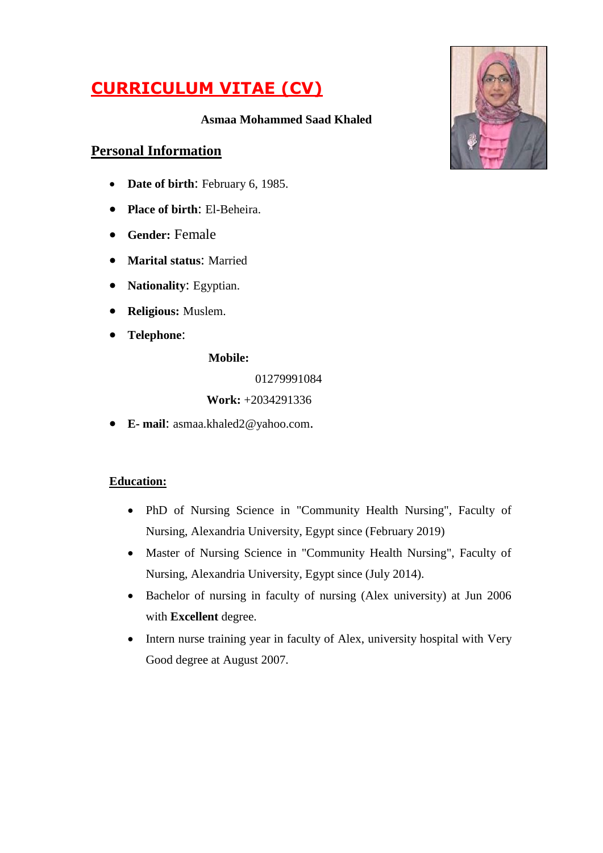# **CURRICULUM VITAE (CV)**

#### **Asmaa Mohammed Saad Khaled**

# **Personal Information**

- **Date of birth**: February 6, 1985.
- **Place of birth**: El-Beheira.
- **Gender:** Female
- **Marital status**: Married
- **Nationality**: Egyptian.
- **Religious:** Muslem.
- **Telephone**:

**Mobile:**

01279991084

#### **Work:** +2034291336

**E- mail**: asmaa.khaled[2@yahoo.com](mailto:2008@yahoo.com).

#### **Education:**

- PhD of Nursing Science in "Community Health Nursing", Faculty of Nursing, Alexandria University, Egypt since (February 2019)
- Master of Nursing Science in "Community Health Nursing", Faculty of Nursing, Alexandria University, Egypt since (July 2014).
- Bachelor of nursing in faculty of nursing (Alex university) at Jun 2006 with **Excellent** degree.
- Intern nurse training year in faculty of Alex, university hospital with Very Good degree at August 2007.

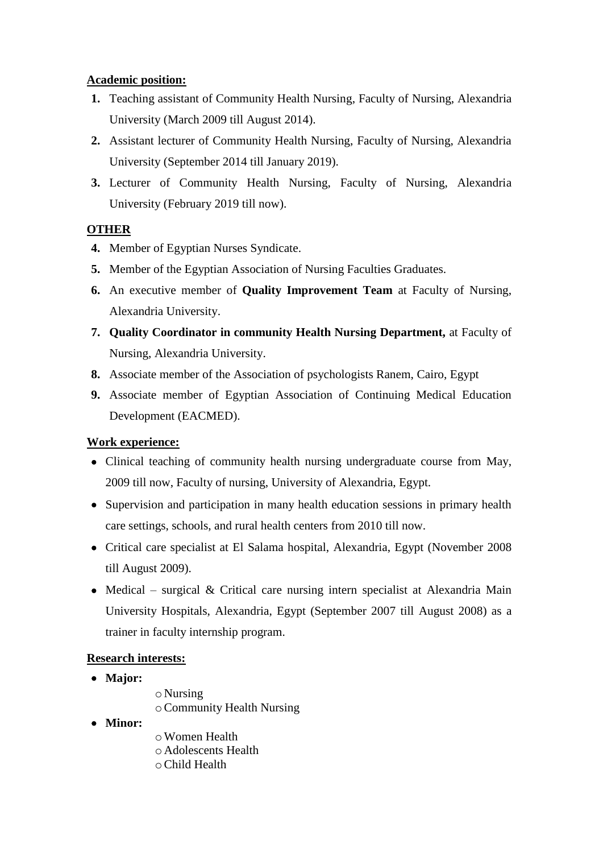#### **Academic position:**

- **1.** Teaching assistant of Community Health Nursing, Faculty of Nursing, Alexandria University (March 2009 till August 2014).
- **2.** Assistant lecturer of Community Health Nursing, Faculty of Nursing, Alexandria University (September 2014 till January 2019).
- **3.** Lecturer of Community Health Nursing, Faculty of Nursing, Alexandria University (February 2019 till now).

# **OTHER**

- **4.** Member of Egyptian Nurses Syndicate.
- **5.** Member of the Egyptian Association of Nursing Faculties Graduates.
- **6.** An executive member of **Quality Improvement Team** at Faculty of Nursing, Alexandria University.
- **7. Quality Coordinator in community Health Nursing Department,** at Faculty of Nursing, Alexandria University.
- **8.** Associate member of the Association of psychologists Ranem, Cairo, Egypt
- **9.** Associate member of Egyptian Association of Continuing Medical Education Development (EACMED).

# **Work experience:**

- Clinical teaching of community health nursing undergraduate course from May, 2009 till now, Faculty of nursing, University of Alexandria, Egypt.
- Supervision and participation in many health education sessions in primary health care settings, schools, and rural health centers from 2010 till now.
- Critical care specialist at El Salama hospital, Alexandria, Egypt (November 2008) till August 2009).
- Medical surgical  $& Critical care nursing intern specialist at Alexandria Main$ University Hospitals, Alexandria, Egypt (September 2007 till August 2008) as a trainer in faculty internship program.

# **Research interests:**

- **Major:**
- o Nursing
- oCommunity Health Nursing
- **Minor:**
- oWomen Health o Adolescents Health oChild Health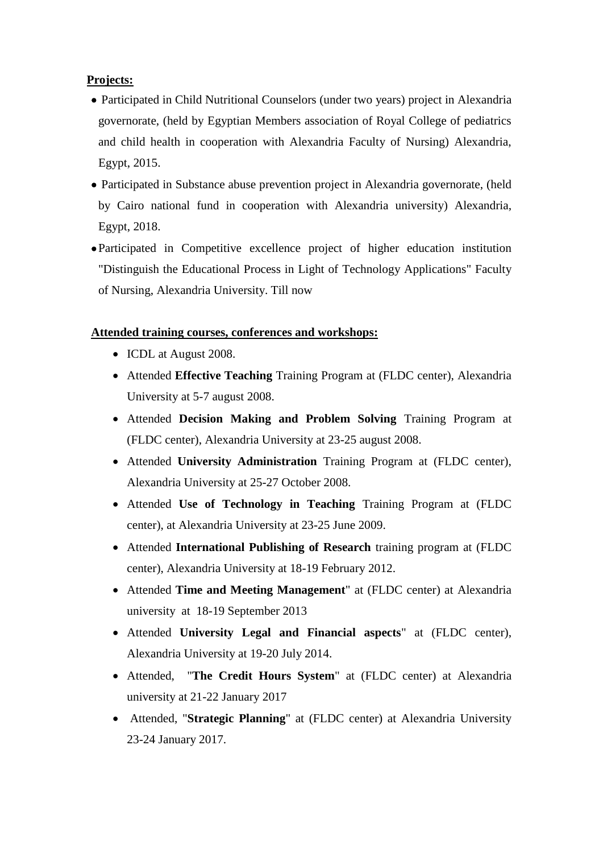#### **Projects:**

- Participated in Child Nutritional Counselors (under two years) project in Alexandria governorate, (held by Egyptian Members association of Royal College of pediatrics and child health in cooperation with Alexandria Faculty of Nursing) Alexandria, Egypt, 2015.
- Participated in Substance abuse prevention project in Alexandria governorate, (held by Cairo national fund in cooperation with Alexandria university) Alexandria, Egypt, 2018.
- Participated in Competitive excellence project of higher education institution "Distinguish the Educational Process in Light of Technology Applications" Faculty of Nursing, Alexandria University. Till now

#### **Attended training courses, conferences and workshops:**

- ICDL at August 2008.
- Attended **Effective Teaching** Training Program at (FLDC center), Alexandria University at 5-7 august 2008.
- Attended **Decision Making and Problem Solving** Training Program at (FLDC center), Alexandria University at 23-25 august 2008.
- Attended **University Administration** Training Program at (FLDC center), Alexandria University at 25-27 October 2008.
- Attended **Use of Technology in Teaching** Training Program at (FLDC center), at Alexandria University at 23-25 June 2009.
- Attended **International Publishing of Research** training program at (FLDC center), Alexandria University at 18-19 February 2012.
- Attended **Time and Meeting Management**" at (FLDC center) at Alexandria university at 18-19 September 2013
- Attended **University Legal and Financial aspects**" at (FLDC center), Alexandria University at 19-20 July 2014.
- Attended, "**The Credit Hours System**" at (FLDC center) at Alexandria university at 21-22 January 2017
- Attended, "**Strategic Planning**" at (FLDC center) at Alexandria University 23-24 January 2017.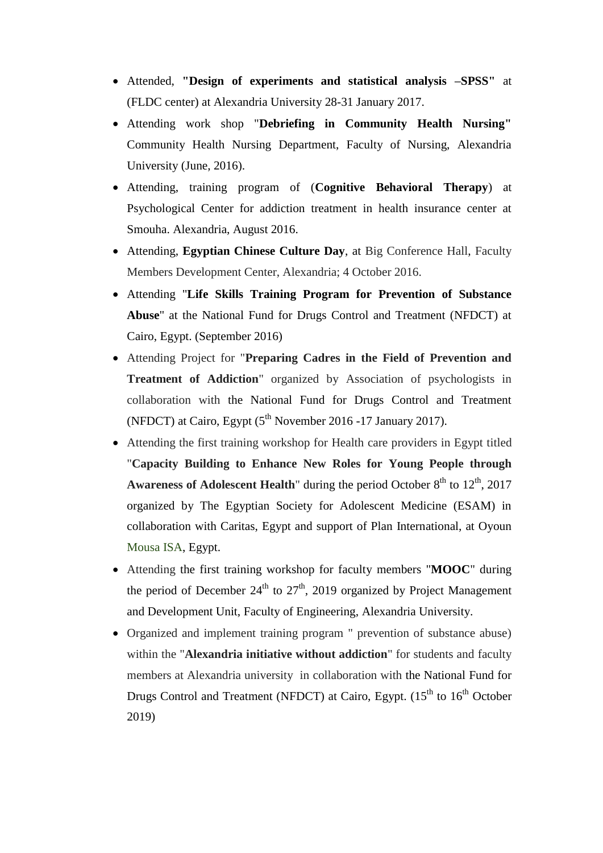- Attended, **"Design of experiments and statistical analysis –SPSS"** at (FLDC center) at Alexandria University 28-31 January 2017.
- Attending work shop "**Debriefing in Community Health Nursing"**  Community Health Nursing Department, Faculty of Nursing, Alexandria University (June, 2016).
- Attending, training program of (**Cognitive Behavioral Therapy**) at Psychological Center for addiction treatment in health insurance center at Smouha. Alexandria, August 2016.
- Attending, **Egyptian Chinese Culture Day**, at Big Conference Hall, Faculty Members Development Center, Alexandria; 4 October 2016.
- Attending "**Life Skills Training Program for Prevention of Substance Abuse**" at the National Fund for Drugs Control and Treatment (NFDCT) at Cairo, Egypt. (September 2016)
- Attending Project for "**Preparing Cadres in the Field of Prevention and Treatment of Addiction**" organized by Association of psychologists in collaboration with the National Fund for Drugs Control and Treatment (NFDCT) at Cairo, Egypt  $(5<sup>th</sup>$  November 2016 -17 January 2017).
- Attending the first training workshop for Health care providers in Egypt titled "**Capacity Building to Enhance New Roles for Young People through Awareness of Adolescent Health**" during the period October  $8<sup>th</sup>$  to  $12<sup>th</sup>$ , 2017 organized by The Egyptian Society for Adolescent Medicine (ESAM) in collaboration with Caritas, Egypt and support of Plan International, at Oyoun Mousa ISA, Egypt.
- Attending the first training workshop for faculty members "**MOOC**" during the period of December 24<sup>th</sup> to 27<sup>th</sup>, 2019 organized by Project Management and Development Unit, Faculty of Engineering, Alexandria University.
- Organized and implement training program " prevention of substance abuse) within the "**Alexandria initiative without addiction**" for students and faculty members at Alexandria university in collaboration with the National Fund for Drugs Control and Treatment (NFDCT) at Cairo, Egypt.  $(15<sup>th</sup>$  to  $16<sup>th</sup>$  October 2019)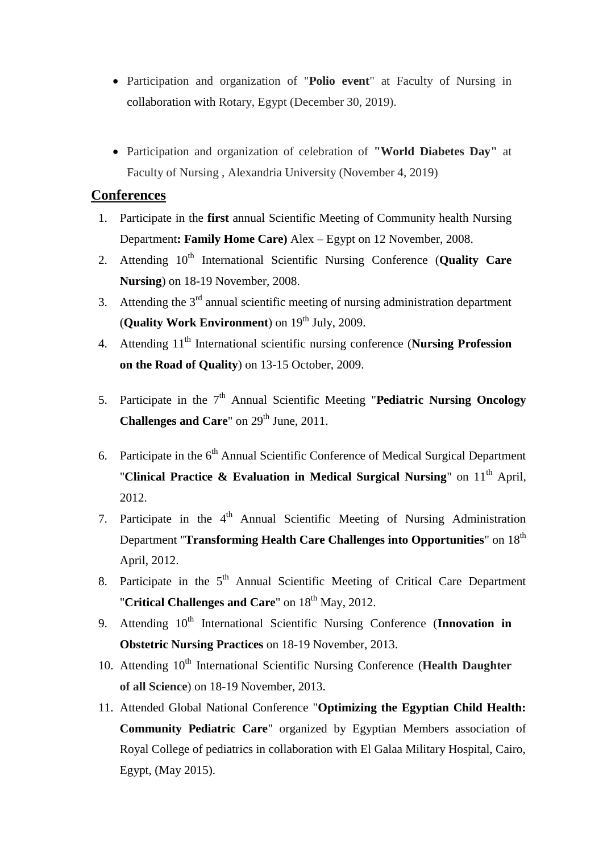- Participation and organization of "**Polio event**" at Faculty of Nursing in collaboration with Rotary, Egypt (December 30, 2019).
- Participation and organization of celebration of **"World Diabetes Day"** at Faculty of Nursing , Alexandria University (November 4, 2019)

### **Conferences**

- 1. Participate in the **first** annual Scientific Meeting of Community health Nursing Department**: Family Home Care)** Alex – Egypt on 12 November, 2008.
- 2. Attending 10<sup>th</sup> International Scientific Nursing Conference (**Quality Care Nursing**) on 18-19 November, 2008.
- 3. Attending the  $3<sup>rd</sup>$  annual scientific meeting of nursing administration department (**Quality Work Environment**) on  $19^{th}$  July, 2009.
- 4. Attending 11th International scientific nursing conference (**Nursing Profession on the Road of Quality**) on 13-15 October, 2009.
- 5. Participate in the 7<sup>th</sup> Annual Scientific Meeting "Pediatric Nursing Oncology **Challenges and Care**" on 29<sup>th</sup> June, 2011.
- 6. Participate in the  $6<sup>th</sup>$  Annual Scientific Conference of Medical Surgical Department "**Clinical Practice & Evaluation in Medical Surgical Nursing**" on 11<sup>th</sup> April, 2012.
- 7. Participate in the 4<sup>th</sup> Annual Scientific Meeting of Nursing Administration Department "**Transforming Health Care Challenges into Opportunities**" on 18<sup>th</sup> April, 2012.
- 8. Participate in the  $5<sup>th</sup>$  Annual Scientific Meeting of Critical Care Department "**Critical Challenges and Care**" on 18<sup>th</sup> May, 2012.
- 9. Attending 10<sup>th</sup> International Scientific Nursing Conference (Innovation in **Obstetric Nursing Practices** on 18-19 November, 2013.
- 10. Attending 10<sup>th</sup> International Scientific Nursing Conference (**Health Daughter of all Science**) on 18-19 November, 2013.
- 11. Attended Global National Conference "**Optimizing the Egyptian Child Health: Community Pediatric Care**" organized by Egyptian Members association of Royal College of pediatrics in collaboration with El Galaa Military Hospital, Cairo, Egypt, (May 2015).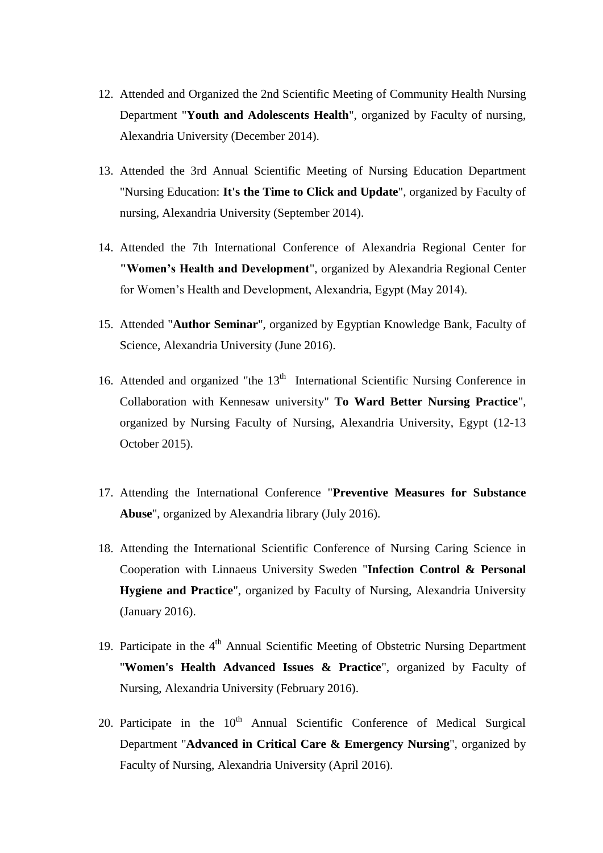- 12. Attended and Organized the 2nd Scientific Meeting of Community Health Nursing Department "**Youth and Adolescents Health**", organized by Faculty of nursing, Alexandria University (December 2014).
- 13. Attended the 3rd Annual Scientific Meeting of Nursing Education Department "Nursing Education: **It's the Time to Click and Update**", organized by Faculty of nursing, Alexandria University (September 2014).
- 14. Attended the 7th International Conference of Alexandria Regional Center for **"Women's Health and Development**", organized by Alexandria Regional Center for Women's Health and Development, Alexandria, Egypt (May 2014).
- 15. Attended "**Author Seminar**", organized by Egyptian Knowledge Bank, Faculty of Science, Alexandria University (June 2016).
- 16. Attended and organized "the 13<sup>th</sup> International Scientific Nursing Conference in Collaboration with Kennesaw university" **To Ward Better Nursing Practice**", organized by Nursing Faculty of Nursing, Alexandria University, Egypt (12-13 October 2015).
- 17. Attending the International Conference "**Preventive Measures for Substance Abuse**", organized by Alexandria library (July 2016).
- 18. Attending the International Scientific Conference of Nursing Caring Science in Cooperation with Linnaeus University Sweden "**Infection Control & Personal Hygiene and Practice**", organized by Faculty of Nursing, Alexandria University (January 2016).
- 19. Participate in the 4<sup>th</sup> Annual Scientific Meeting of Obstetric Nursing Department "**Women's Health Advanced Issues & Practice**", organized by Faculty of Nursing, Alexandria University (February 2016).
- 20. Participate in the  $10<sup>th</sup>$  Annual Scientific Conference of Medical Surgical Department "**Advanced in Critical Care & Emergency Nursing**", organized by Faculty of Nursing, Alexandria University (April 2016).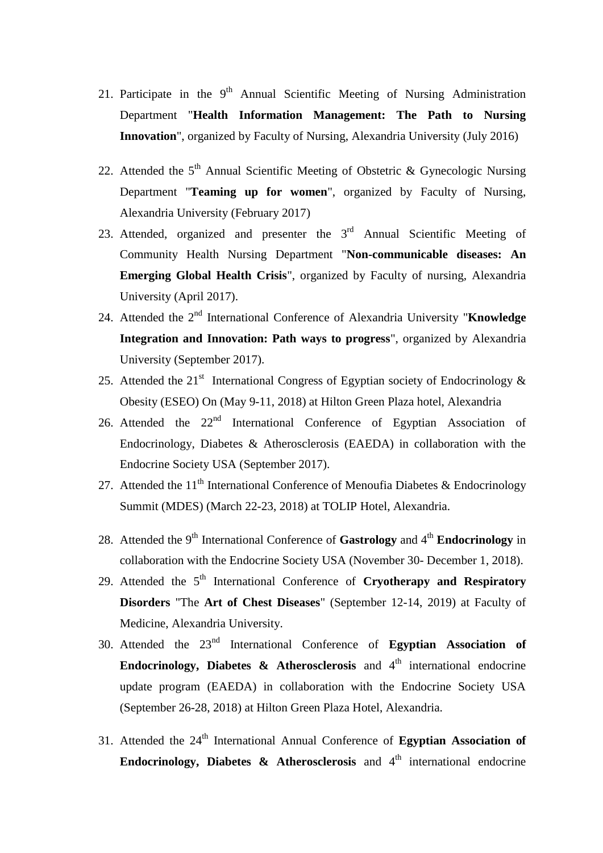- 21. Participate in the  $9<sup>th</sup>$  Annual Scientific Meeting of Nursing Administration Department "**Health Information Management: The Path to Nursing Innovation**", organized by Faculty of Nursing, Alexandria University (July 2016)
- 22. Attended the  $5<sup>th</sup>$  Annual Scientific Meeting of Obstetric & Gynecologic Nursing Department "**Teaming up for women**", organized by Faculty of Nursing, Alexandria University (February 2017)
- 23. Attended, organized and presenter the  $3<sup>rd</sup>$  Annual Scientific Meeting of Community Health Nursing Department "**Non-communicable diseases: An Emerging Global Health Crisis**", organized by Faculty of nursing, Alexandria University (April 2017).
- 24. Attended the 2<sup>nd</sup> International Conference of Alexandria University "**Knowledge Integration and Innovation: Path ways to progress**", organized by Alexandria University (September 2017).
- 25. Attended the 21<sup>st</sup> International Congress of Egyptian society of Endocrinology  $\&$ Obesity (ESEO) On (May 9-11, 2018) at Hilton Green Plaza hotel, Alexandria
- 26. Attended the  $22<sup>nd</sup>$  International Conference of Egyptian Association of Endocrinology, Diabetes & Atherosclerosis (EAEDA) in collaboration with the Endocrine Society USA (September 2017).
- 27. Attended the  $11<sup>th</sup>$  International Conference of Menoufia Diabetes & Endocrinology Summit (MDES) (March 22-23, 2018) at TOLIP Hotel, Alexandria.
- 28. Attended the 9th International Conference of **Gastrology** and 4th **Endocrinology** in collaboration with the Endocrine Society USA (November 30- December 1, 2018).
- 29. Attended the 5<sup>th</sup> International Conference of **Cryotherapy and Respiratory Disorders** "The **Art of Chest Diseases**" (September 12-14, 2019) at Faculty of Medicine, Alexandria University.
- 30. Attended the 23nd International Conference of **Egyptian Association of Endocrinology, Diabetes & Atherosclerosis** and  $4<sup>th</sup>$  international endocrine update program (EAEDA) in collaboration with the Endocrine Society USA (September 26-28, 2018) at Hilton Green Plaza Hotel, Alexandria.
- 31. Attended the 24<sup>th</sup> International Annual Conference of Egyptian Association of **Endocrinology, Diabetes & Atherosclerosis** and  $4<sup>th</sup>$  international endocrine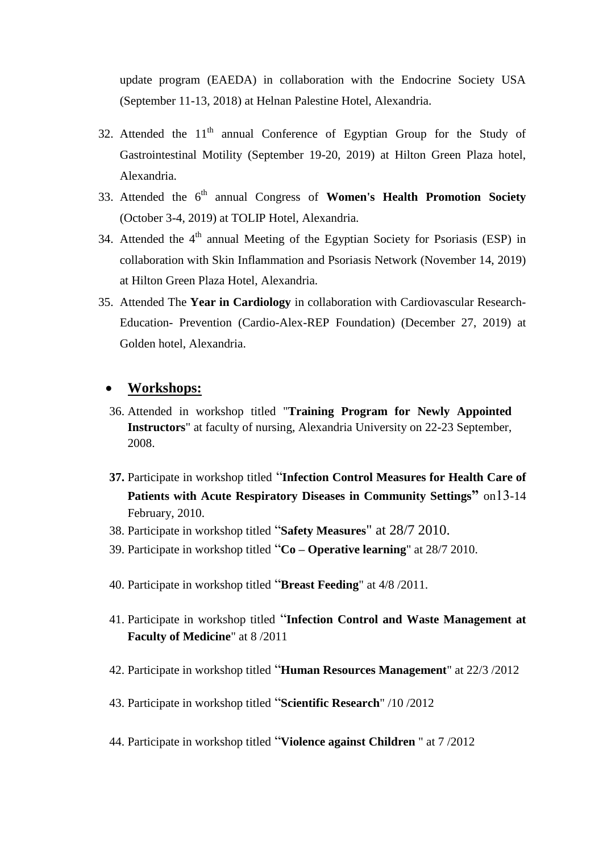update program (EAEDA) in collaboration with the Endocrine Society USA (September 11-13, 2018) at Helnan Palestine Hotel, Alexandria.

- 32. Attended the  $11<sup>th</sup>$  annual Conference of Egyptian Group for the Study of Gastrointestinal Motility (September 19-20, 2019) at Hilton Green Plaza hotel, Alexandria.
- 33. Attended the 6<sup>th</sup> annual Congress of Women's Health Promotion Society (October 3-4, 2019) at TOLIP Hotel, Alexandria.
- 34. Attended the 4<sup>th</sup> annual Meeting of the Egyptian Society for Psoriasis (ESP) in collaboration with Skin Inflammation and Psoriasis Network (November 14, 2019) at Hilton Green Plaza Hotel, Alexandria.
- 35. Attended The **Year in Cardiology** in collaboration with Cardiovascular Research-Education- Prevention (Cardio-Alex-REP Foundation) (December 27, 2019) at Golden hotel, Alexandria.

#### **Workshops:**

- 36. Attended in workshop titled "**Training Program for Newly Appointed Instructors**" at faculty of nursing, Alexandria University on 22-23 September, 2008.
- **37.** Participate in workshop titled "**Infection Control Measures for Health Care of Patients with Acute Respiratory Diseases in Community Settings"** on13-14 February, 2010.
- 38. Participate in workshop titled "**Safety Measures**" at 28/7 2010.
- 39. Participate in workshop titled "**Co – Operative learning**" at 28/7 2010.
- 40. Participate in workshop titled "**Breast Feeding**" at 4/8 /2011.
- 41. Participate in workshop titled "**Infection Control and Waste Management at Faculty of Medicine**" at 8 /2011
- 42. Participate in workshop titled "**Human Resources Management**" at 22/3 /2012
- 43. Participate in workshop titled "**Scientific Research**" /10 /2012
- 44. Participate in workshop titled "**Violence against Children** " at 7 /2012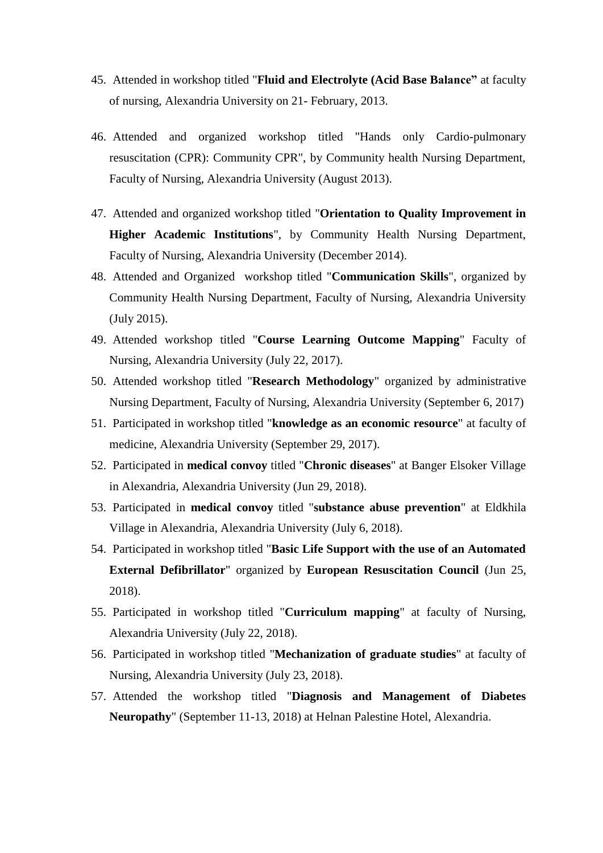- 45. Attended in workshop titled "**Fluid and Electrolyte (Acid Base Balance"** at faculty of nursing, Alexandria University on 21- February, 2013.
- 46. Attended and organized workshop titled "Hands only Cardio-pulmonary resuscitation (CPR): Community CPR", by Community health Nursing Department, Faculty of Nursing, Alexandria University (August 2013).
- 47. Attended and organized workshop titled "**Orientation to Quality Improvement in Higher Academic Institutions**", by Community Health Nursing Department, Faculty of Nursing, Alexandria University (December 2014).
- 48. Attended and Organized workshop titled "**Communication Skills**", organized by Community Health Nursing Department, Faculty of Nursing, Alexandria University (July 2015).
- 49. Attended workshop titled "**Course Learning Outcome Mapping**" Faculty of Nursing, Alexandria University (July 22, 2017).
- 50. Attended workshop titled "**Research Methodology**" organized by administrative Nursing Department, Faculty of Nursing, Alexandria University (September 6, 2017)
- 51. Participated in workshop titled "**knowledge as an economic resource**" at faculty of medicine, Alexandria University (September 29, 2017).
- 52. Participated in **medical convoy** titled "**Chronic diseases**" at Banger Elsoker Village in Alexandria, Alexandria University (Jun 29, 2018).
- 53. Participated in **medical convoy** titled "**substance abuse prevention**" at Eldkhila Village in Alexandria, Alexandria University (July 6, 2018).
- 54. Participated in workshop titled "**Basic Life Support with the use of an Automated External Defibrillator**" organized by **European Resuscitation Council** (Jun 25, 2018).
- 55. Participated in workshop titled "**Curriculum mapping**" at faculty of Nursing, Alexandria University (July 22, 2018).
- 56. Participated in workshop titled "**Mechanization of graduate studies**" at faculty of Nursing, Alexandria University (July 23, 2018).
- 57. Attended the workshop titled "**Diagnosis and Management of Diabetes Neuropathy**" (September 11-13, 2018) at Helnan Palestine Hotel, Alexandria.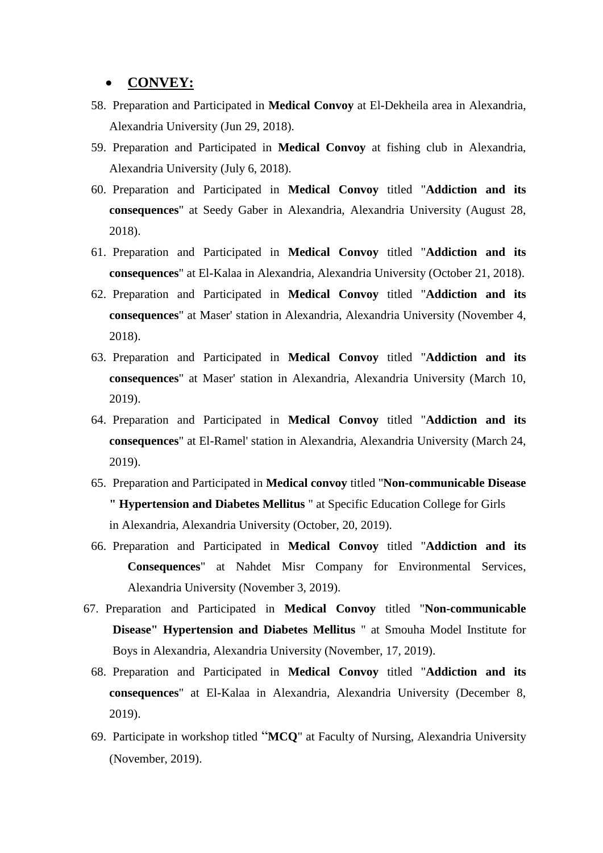#### **CONVEY:**

- 58. Preparation and Participated in **Medical Convoy** at El-Dekheila area in Alexandria, Alexandria University (Jun 29, 2018).
- 59. Preparation and Participated in **Medical Convoy** at fishing club in Alexandria, Alexandria University (July 6, 2018).
- 60. Preparation and Participated in **Medical Convoy** titled "**Addiction and its consequences**" at Seedy Gaber in Alexandria, Alexandria University (August 28, 2018).
- 61. Preparation and Participated in **Medical Convoy** titled "**Addiction and its consequences**" at El-Kalaa in Alexandria, Alexandria University (October 21, 2018).
- 62. Preparation and Participated in **Medical Convoy** titled "**Addiction and its consequences**" at Maser' station in Alexandria, Alexandria University (November 4, 2018).
- 63. Preparation and Participated in **Medical Convoy** titled "**Addiction and its consequences**" at Maser' station in Alexandria, Alexandria University (March 10, 2019).
- 64. Preparation and Participated in **Medical Convoy** titled "**Addiction and its consequences**" at El-Ramel' station in Alexandria, Alexandria University (March 24, 2019).
- 65. Preparation and Participated in **Medical convoy** titled "**Non-communicable Disease " Hypertension and Diabetes Mellitus** " at Specific Education College for Girls in Alexandria, Alexandria University (October, 20, 2019).
- 66. Preparation and Participated in **Medical Convoy** titled "**Addiction and its Consequences**" at Nahdet Misr Company for Environmental Services, Alexandria University (November 3, 2019).
- 67. Preparation and Participated in **Medical Convoy** titled "**Non-communicable Disease" Hypertension and Diabetes Mellitus** " at Smouha Model Institute for Boys in Alexandria, Alexandria University (November, 17, 2019).
	- 68. Preparation and Participated in **Medical Convoy** titled "**Addiction and its consequences**" at El-Kalaa in Alexandria, Alexandria University (December 8, 2019).
	- 69. Participate in workshop titled "**MCQ**" at Faculty of Nursing, Alexandria University (November, 2019).